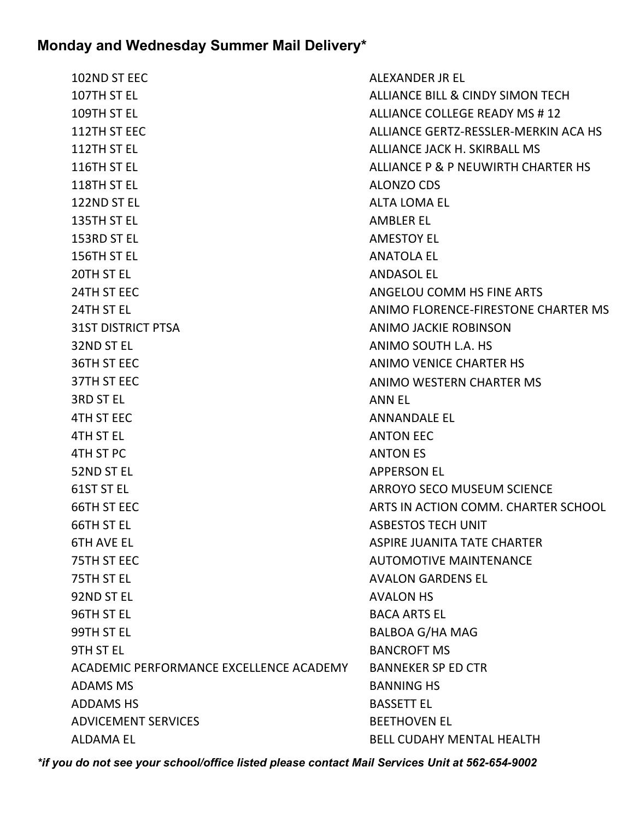| 102ND ST EEC                            | ALEXANDER JR EL                             |
|-----------------------------------------|---------------------------------------------|
| 107TH ST EL                             | <b>ALLIANCE BILL &amp; CINDY SIMON TECH</b> |
| 109TH ST EL                             | ALLIANCE COLLEGE READY MS #12               |
| 112TH ST EEC                            | ALLIANCE GERTZ-RESSLER-MERKIN ACA HS        |
| 112TH ST EL                             | ALLIANCE JACK H. SKIRBALL MS                |
| 116TH ST EL                             | ALLIANCE P & P NEUWIRTH CHARTER HS          |
| 118TH ST EL                             | ALONZO CDS                                  |
| 122ND ST EL                             | <b>ALTA LOMA EL</b>                         |
| 135TH ST EL                             | <b>AMBLER EL</b>                            |
| 153RD ST EL                             | <b>AMESTOY EL</b>                           |
| 156TH ST EL                             | <b>ANATOLA EL</b>                           |
| 20TH ST EL                              | <b>ANDASOL EL</b>                           |
| 24TH ST EEC                             | ANGELOU COMM HS FINE ARTS                   |
| 24TH ST EL                              | ANIMO FLORENCE-FIRESTONE CHARTER MS         |
| <b>31ST DISTRICT PTSA</b>               | <b>ANIMO JACKIE ROBINSON</b>                |
| 32ND ST EL                              | ANIMO SOUTH L.A. HS                         |
| <b>36TH ST EEC</b>                      | ANIMO VENICE CHARTER HS                     |
| 37TH ST EEC                             | ANIMO WESTERN CHARTER MS                    |
| <b>3RD ST EL</b>                        | ANN EL                                      |
| <b>4TH ST EEC</b>                       | <b>ANNANDALE EL</b>                         |
| 4TH ST EL                               | <b>ANTON EEC</b>                            |
| 4TH ST PC                               | <b>ANTON ES</b>                             |
| 52ND ST EL                              | <b>APPERSON EL</b>                          |
| 61ST ST EL                              | ARROYO SECO MUSEUM SCIENCE                  |
| 66TH ST EEC                             | ARTS IN ACTION COMM. CHARTER SCHOOL         |
| 66TH ST EL                              | <b>ASBESTOS TECH UNIT</b>                   |
| <b>6TH AVE EL</b>                       | <b>ASPIRE JUANITA TATE CHARTER</b>          |
| 75TH ST EEC                             | <b>AUTOMOTIVE MAINTENANCE</b>               |
| 75TH ST EL                              | <b>AVALON GARDENS EL</b>                    |
| 92ND ST EL                              | <b>AVALON HS</b>                            |
| 96TH ST EL                              | <b>BACA ARTS EL</b>                         |
| 99TH ST EL                              | <b>BALBOA G/HA MAG</b>                      |
| 9TH ST EL                               | <b>BANCROFT MS</b>                          |
| ACADEMIC PERFORMANCE EXCELLENCE ACADEMY | <b>BANNEKER SP ED CTR</b>                   |
| <b>ADAMS MS</b>                         | <b>BANNING HS</b>                           |
| <b>ADDAMS HS</b>                        | <b>BASSETT EL</b>                           |
| <b>ADVICEMENT SERVICES</b>              | <b>BEETHOVEN EL</b>                         |
| <b>ALDAMA EL</b>                        | <b>BELL CUDAHY MENTAL HEALTH</b>            |
|                                         |                                             |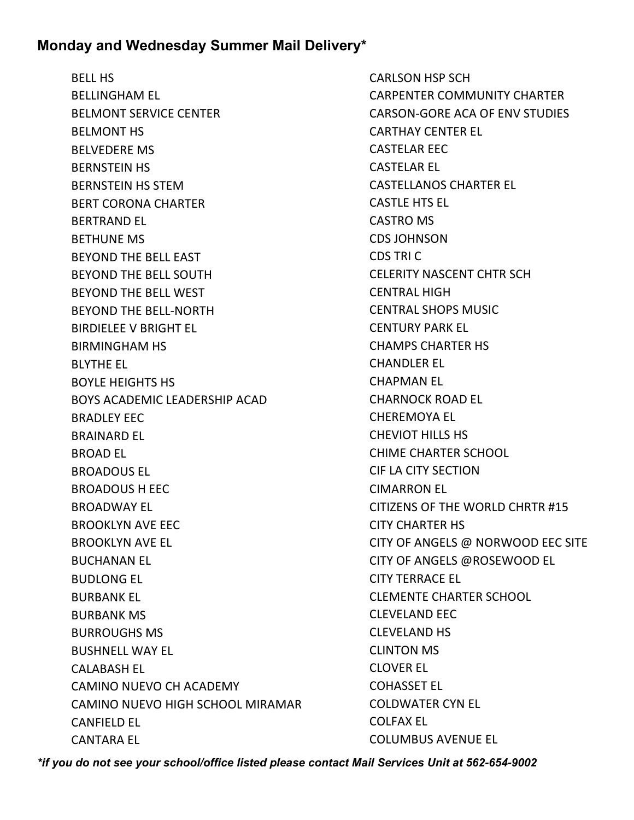BELL HS BELLINGHAM EL BELMONT SERVICE CENTER BELMONT HS BELVEDERE MS BERNSTEIN HS BERNSTEIN HS STEM BERT CORONA CHARTER BERTRAND EL BETHUNE MS BEYOND THE BELL EAST BEYOND THE BELL SOUTH BEYOND THE BELL WEST BEYOND THE BELL-NORTH BIRDIELEE V BRIGHT EL BIRMINGHAM HS BLYTHE EL BOYLE HEIGHTS HS BOYS ACADEMIC LEADERSHIP ACAD BRADLEY EEC BRAINARD EL BROAD EL BROADOUS EL BROADOUS H EEC BROADWAY EL BROOKLYN AVE EEC BROOKLYN AVE EL BUCHANAN EL BUDLONG EL BURBANK EL BURBANK MS BURROUGHS MS BUSHNELL WAY EL CALABASH EL CAMINO NUEVO CH ACADEMY CAMINO NUEVO HIGH SCHOOL MIRAMAR CANFIELD EL CANTARA EL

CARLSON HSP SCH CARPENTER COMMUNITY CHARTER CARSON-GORE ACA OF ENV STUDIES CARTHAY CENTER EL CASTELAR EEC CASTELAR EL CASTELLANOS CHARTER EL CASTLE HTS EL CASTRO MS CDS JOHNSON CDS TRI C CELERITY NASCENT CHTR SCH CENTRAL HIGH CENTRAL SHOPS MUSIC CENTURY PARK EL CHAMPS CHARTER HS CHANDLER EL CHAPMAN EL CHARNOCK ROAD EL CHEREMOYA EL CHEVIOT HILLS HS CHIME CHARTER SCHOOL CIF LA CITY SECTION CIMARRON EL CITIZENS OF THE WORLD CHRTR #15 CITY CHARTER HS CITY OF ANGELS @ NORWOOD EEC SITE CITY OF ANGELS @ROSEWOOD EL CITY TERRACE EL CLEMENTE CHARTER SCHOOL CLEVELAND EEC CLEVELAND HS CLINTON MS CLOVER EL COHASSET EL COLDWATER CYN EL COLFAX EL COLUMBUS AVENUE EL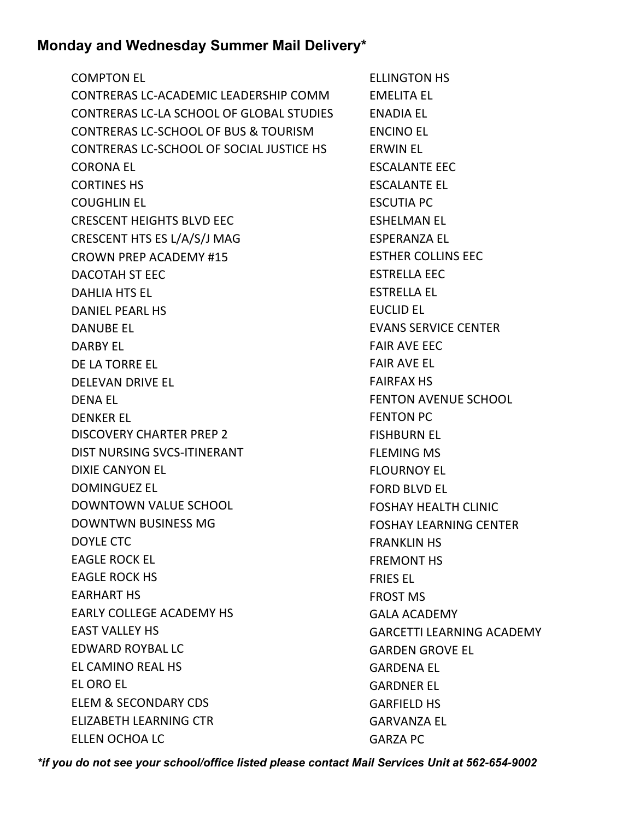COMPTON EL CONTRERAS LC-ACADEMIC LEADERSHIP COMM CONTRERAS LC-LA SCHOOL OF GLOBAL STUDIES CONTRERAS LC-SCHOOL OF BUS & TOURISM CONTRERAS LC-SCHOOL OF SOCIAL JUSTICE HS CORONA EL CORTINES HS COUGHLIN EL CRESCENT HEIGHTS BLVD EEC CRESCENT HTS ES L/A/S/J MAG CROWN PREP ACADEMY #15 DACOTAH ST EEC DAHLIA HTS EL DANIEL PEARL HS DANUBE EL DARBY EL DE LA TORRE EL DELEVAN DRIVE EL DENA EL DENKER EL DISCOVERY CHARTER PREP 2 DIST NURSING SVCS-ITINERANT DIXIE CANYON EL DOMINGUEZ EL DOWNTOWN VALUE SCHOOL DOWNTWN BUSINESS MG DOYLE CTC EAGLE ROCK EL EAGLE ROCK HS EARHART HS EARLY COLLEGE ACADEMY HS EAST VALLEY HS EDWARD ROYBAL LC EL CAMINO REAL HS EL ORO EL ELEM & SECONDARY CDS ELIZABETH LEARNING CTR ELLEN OCHOA LC

ELLINGTON HS EMELITA EL ENADIA EL ENCINO EL ERWIN EL ESCALANTE EEC ESCALANTE EL ESCUTIA PC ESHELMAN EL ESPERANZA EL ESTHER COLLINS EEC ESTRELLA EEC ESTRELLA EL EUCLID EL EVANS SERVICE CENTER FAIR AVE EEC FAIR AVE EL FAIRFAX HS FENTON AVENUE SCHOOL FENTON PC FISHBURN EL FLEMING MS FLOURNOY EL FORD BLVD EL FOSHAY HEALTH CLINIC FOSHAY LEARNING CENTER FRANKLIN HS FREMONT HS FRIES EL FROST MS GALA ACADEMY GARCETTI LEARNING ACADEMY GARDEN GROVE EL GARDENA EL GARDNER EL GARFIELD HS GARVANZA EL GARZA PC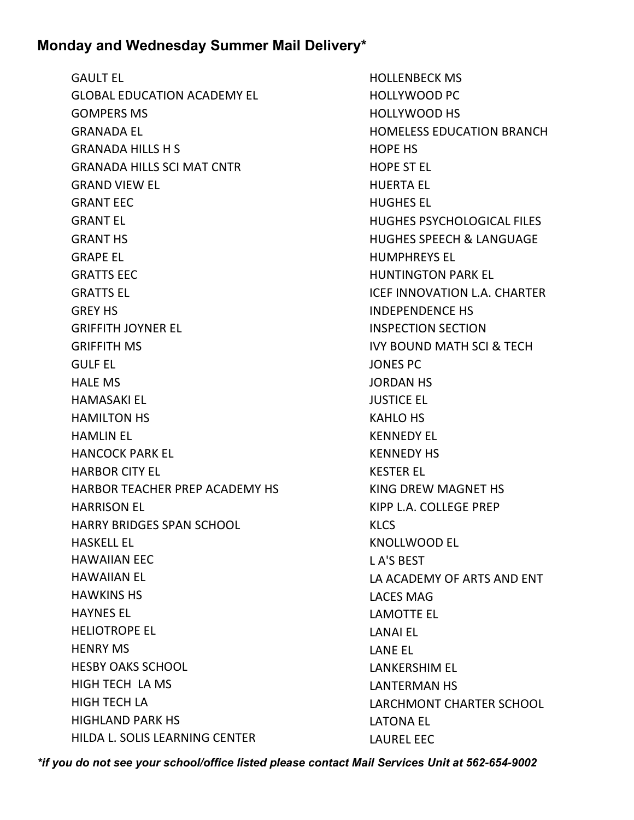GAULT EL GLOBAL EDUCATION ACADEMY EL GOMPERS MS GRANADA EL GRANADA HILLS H S GRANADA HILLS SCI MAT CNTR GRAND VIEW EL GRANT EEC GRANT EL GRANT HS GRAPE EL GRATTS EEC GRATTS EL GREY HS GRIFFITH JOYNER EL GRIFFITH MS GULF EL HALE MS HAMASAKI EL HAMILTON HS HAMLIN EL HANCOCK PARK EL HARBOR CITY EL HARBOR TEACHER PREP ACADEMY HS HARRISON EL HARRY BRIDGES SPAN SCHOOL HASKELL EL HAWAIIAN EEC HAWAIIAN EL HAWKINS HS HAYNES EL HELIOTROPE EL HENRY MS HESBY OAKS SCHOOL HIGH TECH LA MS HIGH TECH LA HIGHLAND PARK HS HILDA L. SOLIS LEARNING CENTER

HOLLENBECK MS HOLLYWOOD PC HOLLYWOOD HS HOMELESS EDUCATION BRANCH HOPE HS HOPE ST EL HUERTA EL HUGHES EL HUGHES PSYCHOLOGICAL FILES HUGHES SPEECH & LANGUAGE HUMPHREYS EL HUNTINGTON PARK EL ICEF INNOVATION L.A. CHARTER INDEPENDENCE HS INSPECTION SECTION IVY BOUND MATH SCI & TECH JONES PC JORDAN HS JUSTICE EL KAHLO HS KENNEDY EL KENNEDY HS KESTER EL KING DREW MAGNET HS KIPP L.A. COLLEGE PREP KLCS KNOLLWOOD EL L A'S BEST LA ACADEMY OF ARTS AND ENT LACES MAG LAMOTTE EL LANAI EL LANE EL LANKERSHIM EL LANTERMAN HS LARCHMONT CHARTER SCHOOL LATONA EL LAUREL EEC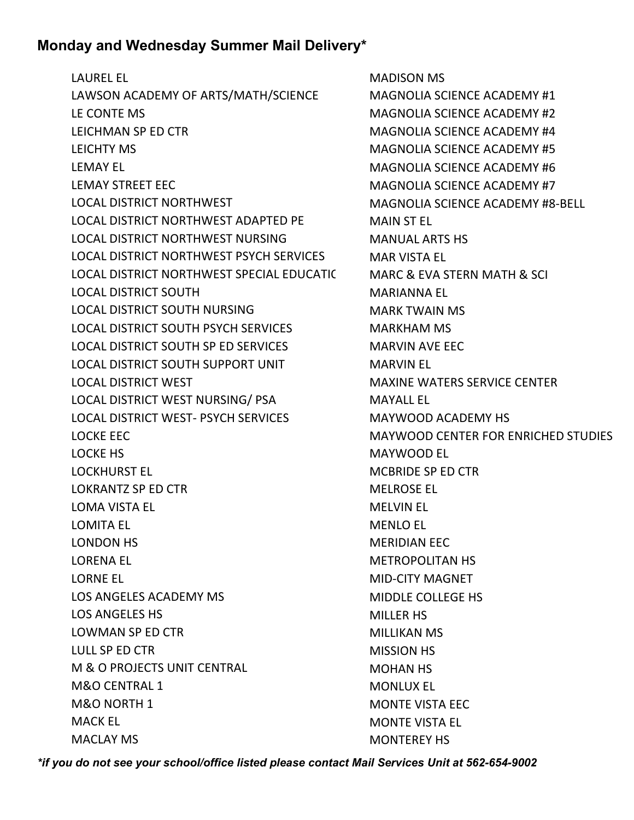LAUREL EL

LAWSON ACADEMY OF ARTS/MATH/SCIENCE LE CONTE MS LEICHMAN SP ED CTR LEICHTY MS LEMAY EL LEMAY STREET EEC LOCAL DISTRICT NORTHWEST LOCAL DISTRICT NORTHWEST ADAPTED PE LOCAL DISTRICT NORTHWEST NURSING LOCAL DISTRICT NORTHWEST PSYCH SERVICES LOCAL DISTRICT NORTHWEST SPECIAL EDUCATIC LOCAL DISTRICT SOUTH LOCAL DISTRICT SOUTH NURSING LOCAL DISTRICT SOUTH PSYCH SERVICES LOCAL DISTRICT SOUTH SP ED SERVICES LOCAL DISTRICT SOUTH SUPPORT UNIT LOCAL DISTRICT WEST LOCAL DISTRICT WEST NURSING/ PSA LOCAL DISTRICT WEST- PSYCH SERVICES LOCKE EEC LOCKE HS LOCKHURST EL LOKRANTZ SP ED CTR LOMA VISTA EL LOMITA EL LONDON HS LORENA EL LORNE EL LOS ANGELES ACADEMY MS LOS ANGELES HS LOWMAN SP ED CTR LULL SP ED CTR M & O PROJECTS UNIT CENTRAL M&O CENTRAL 1 M&O NORTH 1 MACK EL MACLAY MS

MADISON MS MAGNOLIA SCIENCE ACADEMY #1 MAGNOLIA SCIENCE ACADEMY #2 MAGNOLIA SCIENCE ACADEMY #4 MAGNOLIA SCIENCE ACADEMY #5 MAGNOLIA SCIENCE ACADEMY #6 MAGNOLIA SCIENCE ACADEMY #7 MAGNOLIA SCIENCE ACADEMY #8-BELL MAIN ST EL MANUAL ARTS HS MAR VISTA EL MARC & EVA STERN MATH & SCI MARIANNA EL MARK TWAIN MS MARKHAM MS MARVIN AVE EEC MARVIN EL MAXINE WATERS SERVICE CENTER MAYALL EL MAYWOOD ACADEMY HS MAYWOOD CENTER FOR ENRICHED STUDIES MAYWOOD EL MCBRIDE SP ED CTR MELROSE EL MELVIN EL MENLO EL MERIDIAN EEC METROPOLITAN HS MID-CITY MAGNET MIDDLE COLLEGE HS MILLER HS MILLIKAN MS MISSION HS MOHAN HS MONLUX EL MONTE VISTA EEC MONTE VISTA EL MONTEREY HS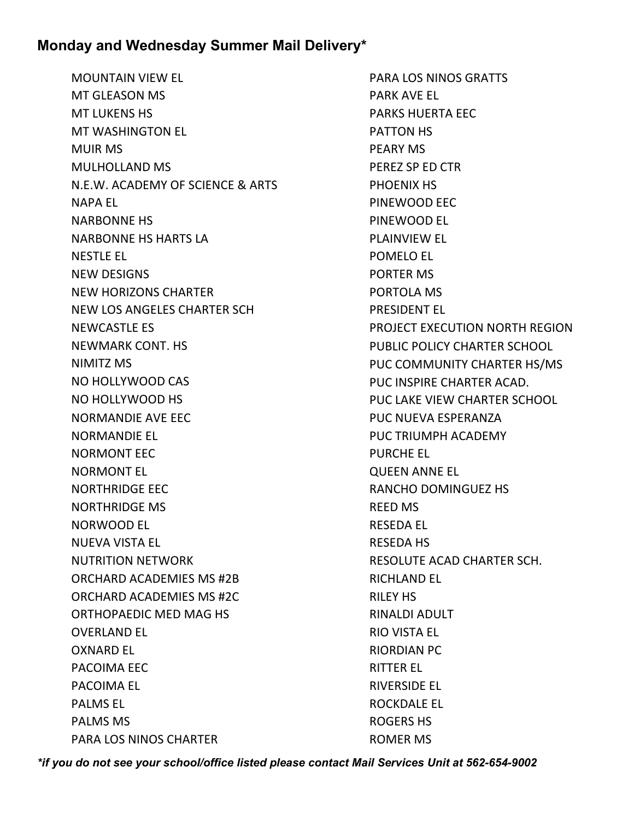MOUNTAIN VIEW EL MT GLEASON MS MT LUKENS HS MT WASHINGTON EL MUIR MS MULHOLLAND MS N.E.W. ACADEMY OF SCIENCE & ARTS NAPA EL NARBONNE HS NARBONNE HS HARTS LA NESTLE EL NEW DESIGNS NEW HORIZONS CHARTER NEW LOS ANGELES CHARTER SCH NEWCASTLE ES NEWMARK CONT. HS NIMITZ MS NO HOLLYWOOD CAS NO HOLLYWOOD HS NORMANDIE AVE EEC NORMANDIE EL NORMONT EEC NORMONT EL NORTHRIDGE EEC NORTHRIDGE MS NORWOOD EL NUEVA VISTA EL NUTRITION NETWORK ORCHARD ACADEMIES MS #2B ORCHARD ACADEMIES MS #2C ORTHOPAEDIC MED MAG HS OVERLAND EL OXNARD EL PACOIMA EEC PACOIMA EL PALMS EL PALMS MS PARA LOS NINOS CHARTER

PARA LOS NINOS GRATTS PARK AVE EL PARKS HUERTA EEC PATTON HS PEARY MS PEREZ SP ED CTR PHOENIX HS PINEWOOD EEC PINEWOOD EL PLAINVIEW EL POMELO EL PORTER MS PORTOLA MS PRESIDENT EL PROJECT EXECUTION NORTH REGION PUBLIC POLICY CHARTER SCHOOL PUC COMMUNITY CHARTER HS/MS PUC INSPIRE CHARTER ACAD. PUC LAKE VIEW CHARTER SCHOOL PUC NUEVA ESPERANZA PUC TRIUMPH ACADEMY PURCHE EL QUEEN ANNE EL RANCHO DOMINGUEZ HS REED MS RESEDA EL RESEDA HS RESOLUTE ACAD CHARTER SCH. RICHLAND EL RILEY HS RINALDI ADULT RIO VISTA EL RIORDIAN PC RITTER EL RIVERSIDE EL ROCKDALE EL ROGERS HS ROMER MS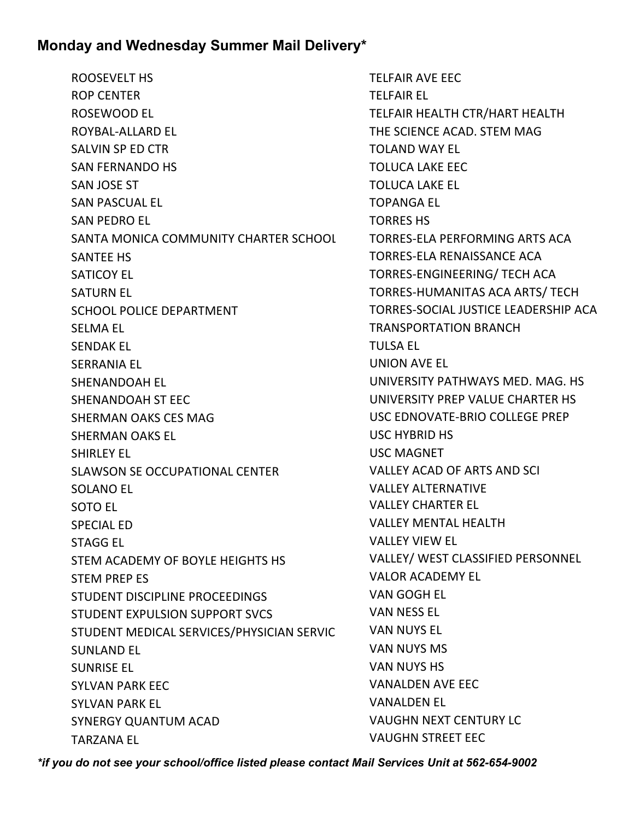ROOSEVELT HS ROP CENTER ROSEWOOD EL ROYBAL-ALLARD EL SALVIN SP ED CTR SAN FERNANDO HS SAN JOSE ST SAN PASCUAL EL SAN PEDRO EL SANTA MONICA COMMUNITY CHARTER SCHOOL SANTEE HS SATICOY EL SATURN EL SCHOOL POLICE DEPARTMENT SELMA EL SENDAK EL SERRANIA EL SHENANDOAH EL SHENANDOAH ST EEC SHERMAN OAKS CES MAG SHERMAN OAKS EL SHIRLEY EL SLAWSON SE OCCUPATIONAL CENTER SOLANO EL SOTO EL SPECIAL ED STAGG EL STEM ACADEMY OF BOYLE HEIGHTS HS STEM PREP ES STUDENT DISCIPLINE PROCEEDINGS STUDENT EXPULSION SUPPORT SVCS STUDENT MEDICAL SERVICES/PHYSICIAN SERVIC SUNLAND EL SUNRISE EL SYLVAN PARK EEC SYLVAN PARK EL SYNERGY QUANTUM ACAD TARZANA EL

TELFAIR AVE EEC TELFAIR EL TELFAIR HEALTH CTR/HART HEALTH THE SCIENCE ACAD. STEM MAG TOLAND WAY EL TOLUCA LAKE EEC TOLUCA LAKE EL TOPANGA EL TORRES HS TORRES-ELA PERFORMING ARTS ACA TORRES-ELA RENAISSANCE ACA TORRES-ENGINEERING/ TECH ACA TORRES-HUMANITAS ACA ARTS/ TECH TORRES-SOCIAL JUSTICE LEADERSHIP ACA TRANSPORTATION BRANCH TULSA EL UNION AVE EL UNIVERSITY PATHWAYS MED. MAG. HS UNIVERSITY PREP VALUE CHARTER HS USC EDNOVATE-BRIO COLLEGE PREP USC HYBRID HS USC MAGNET VALLEY ACAD OF ARTS AND SCI VALLEY ALTERNATIVE VALLEY CHARTER EL VALLEY MENTAL HEALTH VALLEY VIEW EL VALLEY/ WEST CLASSIFIED PERSONNEL VALOR ACADEMY EL VAN GOGH EL VAN NESS EL VAN NUYS EL VAN NUYS MS VAN NUYS HS VANALDEN AVE EEC VANALDEN EL VAUGHN NEXT CENTURY LC VAUGHN STREET EEC